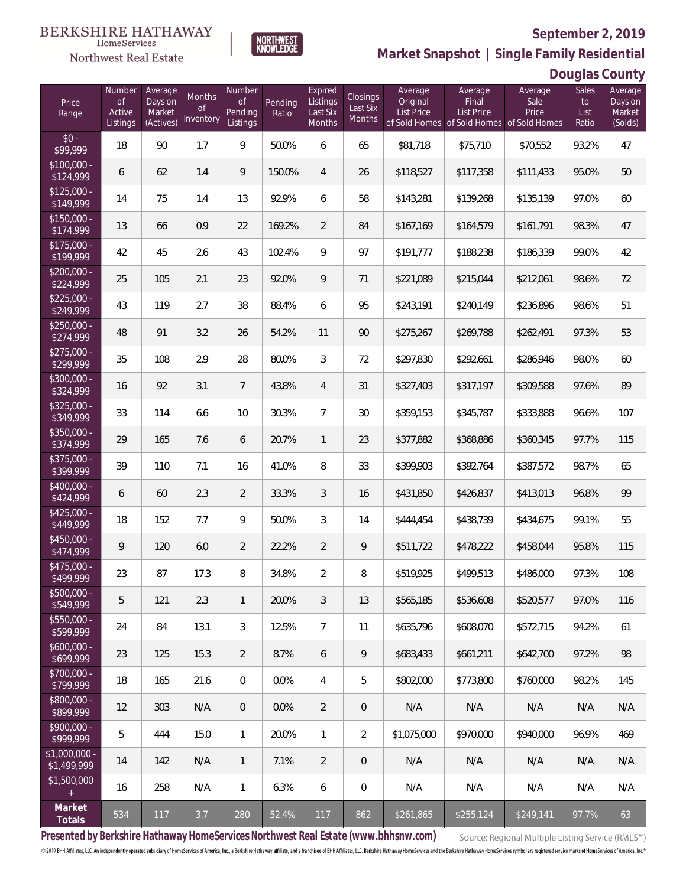**Douglas County**



**Market Snapshot | Single Family Residential**

#### HomeServices Northwest Real Estate

| Price<br>Range                | Number<br>$\circ f$<br>Active<br>Listings | Average<br>Days on<br>Market<br>(Actives) | Months<br>Οf<br>Inventory | Number<br>Of<br>Pending<br>Listings | Pending<br>Ratio | Expired<br>Listings<br>Last Six<br>Months | Closings<br>Last Six<br>Months | Average<br>Original<br><b>List Price</b> | Average<br>Final<br>List Price | Average<br>Sale<br>Price<br>of Sold Homes of Sold Homes of Sold Homes | Sales<br>to<br>List<br>Ratio | Average<br>Days on<br>Market<br>(Solds) |
|-------------------------------|-------------------------------------------|-------------------------------------------|---------------------------|-------------------------------------|------------------|-------------------------------------------|--------------------------------|------------------------------------------|--------------------------------|-----------------------------------------------------------------------|------------------------------|-----------------------------------------|
| $$0 -$<br>\$99,999            | 18                                        | 90                                        | 1.7                       | 9                                   | 50.0%            | 6                                         | 65                             | \$81,718                                 | \$75,710                       | \$70,552                                                              | 93.2%                        | 47                                      |
| $$100,000 -$<br>\$124,999     | 6                                         | 62                                        | 1.4                       | 9                                   | 150.0%           | 4                                         | 26                             | \$118,527                                | \$117,358                      | \$111,433                                                             | 95.0%                        | 50                                      |
| $$125,000 -$<br>\$149,999     | 14                                        | 75                                        | 1.4                       | 13                                  | 92.9%            | 6                                         | 58                             | \$143,281                                | \$139,268                      | \$135,139                                                             | 97.0%                        | 60                                      |
| $$150,000 -$<br>\$174,999     | 13                                        | 66                                        | 0.9                       | 22                                  | 169.2%           | $\overline{2}$                            | 84                             | \$167,169                                | \$164,579                      | \$161,791                                                             | 98.3%                        | 47                                      |
| $$175,000 -$<br>\$199,999     | 42                                        | 45                                        | 2.6                       | 43                                  | 102.4%           | 9                                         | 97                             | \$191,777                                | \$188,238                      | \$186,339                                                             | 99.0%                        | 42                                      |
| $$200,000 -$<br>\$224,999     | 25                                        | 105                                       | 2.1                       | 23                                  | 92.0%            | 9                                         | 71                             | \$221,089                                | \$215,044                      | \$212,061                                                             | 98.6%                        | 72                                      |
| $$225,000 -$<br>\$249,999     | 43                                        | 119                                       | 2.7                       | 38                                  | 88.4%            | 6                                         | 95                             | \$243,191                                | \$240,149                      | \$236,896                                                             | 98.6%                        | 51                                      |
| $$250,000 -$<br>\$274,999     | 48                                        | 91                                        | 3.2                       | 26                                  | 54.2%            | 11                                        | 90                             | \$275,267                                | \$269,788                      | \$262,491                                                             | 97.3%                        | 53                                      |
| $$275,000 -$<br>\$299,999     | 35                                        | 108                                       | 2.9                       | 28                                  | 80.0%            | 3                                         | 72                             | \$297,830                                | \$292,661                      | \$286,946                                                             | 98.0%                        | 60                                      |
| \$300,000 -<br>\$324,999      | 16                                        | 92                                        | 3.1                       | $7\overline{ }$                     | 43.8%            | $\overline{4}$                            | 31                             | \$327,403                                | \$317,197                      | \$309,588                                                             | 97.6%                        | 89                                      |
| $$325,000 -$<br>\$349,999     | 33                                        | 114                                       | 6.6                       | 10                                  | 30.3%            | $\overline{7}$                            | 30                             | \$359,153                                | \$345,787                      | \$333,888                                                             | 96.6%                        | 107                                     |
| \$350,000 -<br>\$374,999      | 29                                        | 165                                       | 7.6                       | 6                                   | 20.7%            | $\mathbf{1}$                              | 23                             | \$377,882                                | \$368,886                      | \$360,345                                                             | 97.7%                        | 115                                     |
| \$375,000 -<br>\$399,999      | 39                                        | 110                                       | 7.1                       | 16                                  | 41.0%            | 8                                         | 33                             | \$399,903                                | \$392,764                      | \$387,572                                                             | 98.7%                        | 65                                      |
| \$400,000 -<br>\$424,999      | 6                                         | 60                                        | 2.3                       | $\overline{2}$                      | 33.3%            | 3                                         | 16                             | \$431,850                                | \$426,837                      | \$413,013                                                             | 96.8%                        | 99                                      |
| $$425,000 -$<br>\$449,999     | 18                                        | 152                                       | 7.7                       | 9                                   | 50.0%            | 3                                         | 14                             | \$444,454                                | \$438,739                      | \$434,675                                                             | 99.1%                        | 55                                      |
| \$450,000 -<br>\$474,999      | 9                                         | 120                                       | 6.0                       | $\overline{2}$                      | 22.2%            | $\overline{2}$                            | 9                              | \$511,722                                | \$478,222                      | \$458,044                                                             | 95.8%                        | 115                                     |
| \$475,000 -<br>\$499,999      | 23                                        | 87                                        | 17.3                      | 8                                   | 34.8%            | $\overline{2}$                            | 8                              | \$519,925                                | \$499,513                      | \$486,000                                                             | 97.3%                        | 108                                     |
| $$500,000 -$<br>\$549,999     | 5                                         | 121                                       | 2.3                       | $\mathbf{1}$                        | 20.0%            | 3                                         | 13                             | \$565,185                                | \$536,608                      | \$520,577                                                             | 97.0%                        | 116                                     |
| $$550,000 -$<br>\$599,999     | 24                                        | 84                                        | 13.1                      | $\mathfrak{Z}$                      | 12.5%            | $\overline{7}$                            | 11                             | \$635,796                                | \$608,070                      | \$572,715                                                             | 94.2%                        | 61                                      |
| $$600,000 -$<br>\$699,999     | 23                                        | 125                                       | 15.3                      | $\overline{2}$                      | 8.7%             | 6                                         | 9                              | \$683,433                                | \$661,211                      | \$642,700                                                             | 97.2%                        | 98                                      |
| $$700,000 -$<br>\$799,999     | 18                                        | 165                                       | 21.6                      | $\boldsymbol{0}$                    | 0.0%             | 4                                         | 5                              | \$802,000                                | \$773,800                      | \$760,000                                                             | 98.2%                        | 145                                     |
| \$800,000 -<br>\$899,999      | 12                                        | 303                                       | N/A                       | $\overline{0}$                      | 0.0%             | $\overline{2}$                            | 0                              | N/A                                      | N/A                            | N/A                                                                   | N/A                          | N/A                                     |
| $$900,000 -$<br>\$999,999     | 5                                         | 444                                       | 15.0                      | $\mathbf{1}$                        | 20.0%            | $\mathbf{1}$                              | $\overline{2}$                 | \$1,075,000                              | \$970,000                      | \$940.000                                                             | 96.9%                        | 469                                     |
| $$1,000,000 -$<br>\$1,499,999 | 14                                        | 142                                       | N/A                       | $\mathbf{1}$                        | 7.1%             | $\overline{2}$                            | 0                              | N/A                                      | N/A                            | N/A                                                                   | N/A                          | N/A                                     |
| \$1,500,000<br>$+$            | 16                                        | 258                                       | N/A                       | $\mathbf{1}$                        | 6.3%             | 6                                         | 0                              | N/A                                      | N/A                            | N/A                                                                   | N/A                          | N/A                                     |
| Market<br><b>Totals</b>       | 534                                       | 117                                       | 3.7                       | 280                                 | 52.4%            | 117                                       | 862                            | \$261,865                                | \$255,124                      | \$249,141                                                             | 97.7%                        | 63                                      |

**Presented by Berkshire Hathaway HomeServices Northwest Real Estate (www.bhhsnw.com)**

Source: Regional Multiple Listing Service (RMLS™)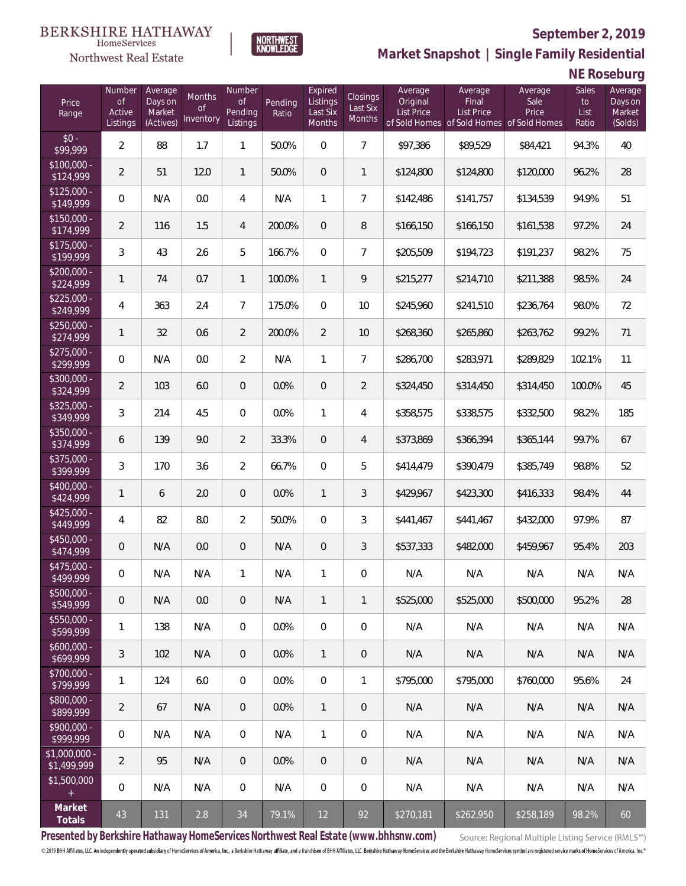

**Market Snapshot | Single Family Residential**

## **NE Roseburg**

| Price<br>Range               | Number<br>$\mathsf{of}$<br>Active<br>Listings | Average<br>Days on<br>Market<br>(Actives) | Months<br><b>of</b><br>Inventory | Number<br>Οf<br>Pending<br>Listings | Pending<br>Ratio | Expired<br>Listings<br>Last Six<br>Months | Closings<br>Last Six<br>Months | Average<br>Original<br>List Price | Average<br>Final<br>List Price<br>of Sold Homes of Sold Homes of Sold Homes | Average<br>Sale<br>Price | Sales<br>to<br>List<br>Ratio | Average<br>Days on<br>Market<br>(Solds) |
|------------------------------|-----------------------------------------------|-------------------------------------------|----------------------------------|-------------------------------------|------------------|-------------------------------------------|--------------------------------|-----------------------------------|-----------------------------------------------------------------------------|--------------------------|------------------------------|-----------------------------------------|
| $$0 -$<br>\$99,999           | $\overline{2}$                                | 88                                        | 1.7                              | $\mathbf{1}$                        | 50.0%            | $\overline{0}$                            | $\overline{7}$                 | \$97,386                          | \$89,529                                                                    | \$84,421                 | 94.3%                        | 40                                      |
| $$100,000 -$<br>\$124,999    | $\overline{2}$                                | 51                                        | 12.0                             | $\mathbf{1}$                        | 50.0%            | $\overline{0}$                            | 1                              | \$124,800                         | \$124,800                                                                   | \$120,000                | 96.2%                        | 28                                      |
| $$125,000 -$<br>\$149,999    | 0                                             | N/A                                       | 0.0                              | 4                                   | N/A              | $\mathbf{1}$                              | $\overline{7}$                 | \$142,486                         | \$141,757                                                                   | \$134,539                | 94.9%                        | 51                                      |
| $$150,000 -$<br>\$174,999    | $\overline{2}$                                | 116                                       | 1.5                              | $\overline{4}$                      | 200.0%           | $\overline{0}$                            | 8                              | \$166,150                         | \$166,150                                                                   | \$161,538                | 97.2%                        | 24                                      |
| $$175,000 -$<br>\$199,999    | 3                                             | 43                                        | 2.6                              | 5                                   | 166.7%           | $\overline{0}$                            | $\overline{7}$                 | \$205,509                         | \$194,723                                                                   | \$191,237                | 98.2%                        | 75                                      |
| $$200,000 -$<br>\$224,999    | 1                                             | 74                                        | 0.7                              | $\mathbf{1}$                        | 100.0%           | $\mathbf{1}$                              | 9                              | \$215,277                         | \$214,710                                                                   | \$211,388                | 98.5%                        | 24                                      |
| $$225,000 -$<br>\$249,999    | 4                                             | 363                                       | 2.4                              | $\overline{7}$                      | 175.0%           | $\overline{0}$                            | 10                             | \$245,960                         | \$241,510                                                                   | \$236,764                | 98.0%                        | 72                                      |
| $$250,000 -$<br>\$274,999    | 1                                             | 32                                        | 0.6                              | $\overline{2}$                      | 200.0%           | $\overline{2}$                            | 10                             | \$268,360                         | \$265,860                                                                   | \$263,762                | 99.2%                        | 71                                      |
| $$275,000 -$<br>\$299,999    | 0                                             | N/A                                       | 0.0                              | $\overline{2}$                      | N/A              | $\mathbf{1}$                              | $\overline{7}$                 | \$286,700                         | \$283,971                                                                   | \$289,829                | 102.1%                       | 11                                      |
| $$300,000 -$<br>\$324,999    | $\overline{2}$                                | 103                                       | 6.0                              | $\overline{0}$                      | 0.0%             | $\overline{0}$                            | $\overline{2}$                 | \$324,450                         | \$314,450                                                                   | \$314,450                | 100.0%                       | 45                                      |
| $$325,000 -$<br>\$349,999    | 3                                             | 214                                       | 4.5                              | $\overline{0}$                      | 0.0%             | $\mathbf{1}$                              | $\overline{4}$                 | \$358,575                         | \$338,575                                                                   | \$332,500                | 98.2%                        | 185                                     |
| $$350,000 -$<br>\$374,999    | 6                                             | 139                                       | 9.0                              | $\overline{2}$                      | 33.3%            | $\mathbf{0}$                              | $\overline{4}$                 | \$373,869                         | \$366,394                                                                   | \$365,144                | 99.7%                        | 67                                      |
| $$375,000 -$<br>\$399,999    | 3                                             | 170                                       | 3.6                              | $\overline{2}$                      | 66.7%            | $\overline{0}$                            | 5                              | \$414,479                         | \$390,479                                                                   | \$385,749                | 98.8%                        | 52                                      |
| \$400,000 -<br>\$424,999     | 1                                             | 6                                         | 2.0                              | $\mathbf 0$                         | 0.0%             | $\mathbf{1}$                              | 3                              | \$429,967                         | \$423,300                                                                   | \$416,333                | 98.4%                        | 44                                      |
| $$425,000 -$<br>\$449,999    | 4                                             | 82                                        | 8.0                              | $\overline{2}$                      | 50.0%            | $\overline{0}$                            | 3                              | \$441,467                         | \$441,467                                                                   | \$432,000                | 97.9%                        | 87                                      |
| \$450,000 -<br>\$474,999     | $\overline{0}$                                | N/A                                       | 0.0                              | $\mathbf 0$                         | N/A              | $\overline{0}$                            | $\mathfrak{Z}$                 | \$537,333                         | \$482,000                                                                   | \$459,967                | 95.4%                        | 203                                     |
| \$475,000 -<br>\$499,999     | $\boldsymbol{0}$                              | N/A                                       | N/A                              | 1                                   | N/A              | 1                                         | $\mathbf 0$                    | N/A                               | N/A                                                                         | N/A                      | N/A                          | N/A                                     |
| $$500,000 -$<br>\$549,999    | $\theta$                                      | N/A                                       | 0.0                              | $\theta$                            | N/A              | 1                                         | 1                              | \$525,000                         | \$525,000                                                                   | \$500,000                | 95.2%                        | 28                                      |
| $$550,000 -$<br>\$599,999    | 1                                             | 138                                       | N/A                              | $\overline{0}$                      | 0.0%             | $\overline{0}$                            | 0                              | N/A                               | N/A                                                                         | N/A                      | N/A                          | N/A                                     |
| $$600,000 -$<br>\$699,999    | 3                                             | 102                                       | N/A                              | $\overline{0}$                      | 0.0%             | $\mathbf{1}$                              | $\mathbf 0$                    | N/A                               | N/A                                                                         | N/A                      | N/A                          | N/A                                     |
| \$700,000 -<br>\$799,999     | 1                                             | 124                                       | 6.0                              | $\overline{0}$                      | 0.0%             | $\mathbf 0$                               | $\mathbf{1}$                   | \$795,000                         | \$795,000                                                                   | \$760,000                | 95.6%                        | 24                                      |
| \$800,000 -<br>\$899,999     | $\overline{2}$                                | 67                                        | N/A                              | $\overline{0}$                      | 0.0%             | $\mathbf{1}$                              | $\mathbf 0$                    | N/A                               | N/A                                                                         | N/A                      | N/A                          | N/A                                     |
| \$900,000 -<br>\$999,999     | $\boldsymbol{0}$                              | N/A                                       | N/A                              | $\mathbf 0$                         | N/A              | $\mathbf{1}$                              | 0                              | N/A                               | N/A                                                                         | N/A                      | N/A                          | N/A                                     |
| \$1,000,000 -<br>\$1,499,999 | $\overline{2}$                                | 95                                        | N/A                              | $\overline{0}$                      | 0.0%             | $\theta$                                  | $\mathbf 0$                    | N/A                               | N/A                                                                         | N/A                      | N/A                          | N/A                                     |
| \$1,500,000                  | $\boldsymbol{0}$                              | N/A                                       | N/A                              | $\mathbf 0$                         | N/A              | $\boldsymbol{0}$                          | $\mathbf 0$                    | N/A                               | N/A                                                                         | N/A                      | N/A                          | N/A                                     |
| Market<br>Totals             | 43                                            | 131                                       | 2.8                              | 34                                  | 79.1%            | 12                                        | 92                             | \$270,181                         | \$262,950                                                                   | \$258,189                | 98.2%                        | 60                                      |

**Presented by Berkshire Hathaway HomeServices Northwest Real Estate (www.bhhsnw.com)**

Source: Regional Multiple Listing Service (RMLS™)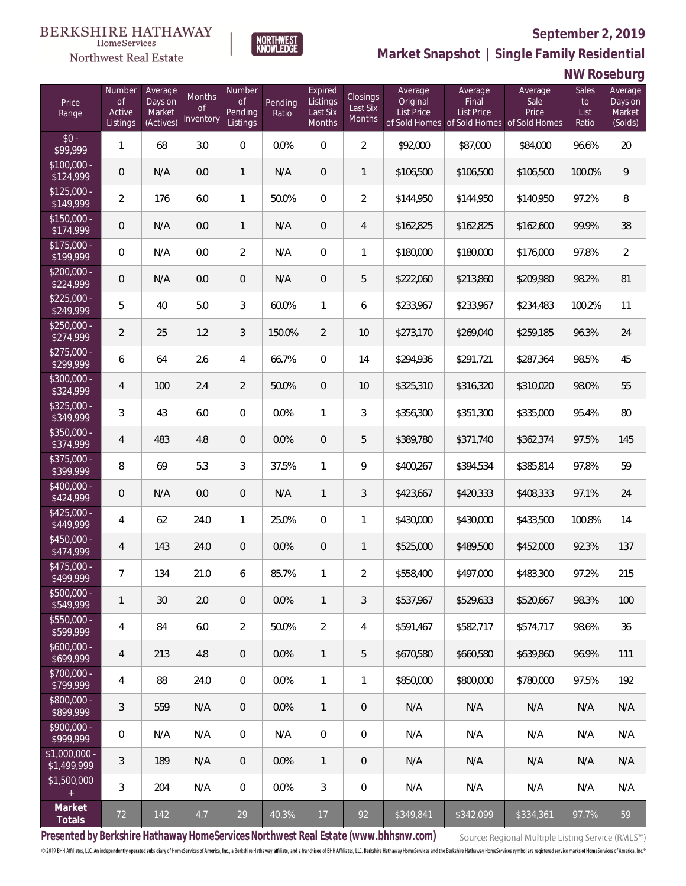

HomeServices

**Market Snapshot | Single Family Residential**

### **NW Roseburg**

| Price<br>Range               | Number<br><b>of</b><br>Active<br>Listings | Average<br>Days on<br>Market<br>(Actives) | Months<br>0f<br>Inventory | Number<br>Οf<br>Pending<br>Listings | Pending<br>Ratio | Expired<br>Listings<br>Last Six<br>Months | <b>Closings</b><br>Last Six<br>Months | Average<br>Original<br><b>List Price</b> | Average<br>Final<br><b>List Price</b><br>of Sold Homes of Sold Homes of Sold Homes | Average<br>Sale<br>Price | Sales<br>to<br>List<br>Ratio | Average<br>Days on<br>Market<br>(Solds) |
|------------------------------|-------------------------------------------|-------------------------------------------|---------------------------|-------------------------------------|------------------|-------------------------------------------|---------------------------------------|------------------------------------------|------------------------------------------------------------------------------------|--------------------------|------------------------------|-----------------------------------------|
| $$0 -$<br>\$99,999           | 1                                         | 68                                        | 3.0                       | $\overline{0}$                      | 0.0%             | $\Omega$                                  | $\overline{2}$                        | \$92,000                                 | \$87,000                                                                           | \$84,000                 | 96.6%                        | 20                                      |
| $$100,000 -$<br>\$124,999    | 0                                         | N/A                                       | 0.0                       | $\mathbf{1}$                        | N/A              | $\overline{0}$                            | $\mathbf{1}$                          | \$106,500                                | \$106,500                                                                          | \$106,500                | 100.0%                       | 9                                       |
| $$125,000 -$<br>\$149,999    | $\overline{2}$                            | 176                                       | 6.0                       | $\mathbf{1}$                        | 50.0%            | $\overline{0}$                            | $\overline{2}$                        | \$144,950                                | \$144,950                                                                          | \$140,950                | 97.2%                        | 8                                       |
| $$150,000 -$<br>\$174,999    | 0                                         | N/A                                       | 0.0                       | $\mathbf{1}$                        | N/A              | $\overline{0}$                            | $\overline{4}$                        | \$162,825                                | \$162,825                                                                          | \$162,600                | 99.9%                        | 38                                      |
| $$175,000 -$<br>\$199,999    | 0                                         | N/A                                       | 0.0                       | $\overline{2}$                      | N/A              | $\overline{0}$                            | $\mathbf{1}$                          | \$180,000                                | \$180,000                                                                          | \$176,000                | 97.8%                        | $\overline{2}$                          |
| $$200,000 -$<br>\$224,999    | 0                                         | N/A                                       | 0.0                       | $\overline{0}$                      | N/A              | $\overline{0}$                            | 5                                     | \$222,060                                | \$213,860                                                                          | \$209,980                | 98.2%                        | 81                                      |
| $$225,000 -$<br>\$249,999    | 5                                         | 40                                        | 5.0                       | 3                                   | 60.0%            | $\mathbf{1}$                              | 6                                     | \$233,967                                | \$233,967                                                                          | \$234,483                | 100.2%                       | 11                                      |
| $$250,000 -$<br>\$274,999    | $\overline{2}$                            | 25                                        | 1.2                       | 3                                   | 150.0%           | $\overline{2}$                            | 10                                    | \$273,170                                | \$269,040                                                                          | \$259,185                | 96.3%                        | 24                                      |
| $$275,000 -$<br>\$299,999    | 6                                         | 64                                        | 2.6                       | $\overline{4}$                      | 66.7%            | $\overline{0}$                            | 14                                    | \$294,936                                | \$291,721                                                                          | \$287,364                | 98.5%                        | 45                                      |
| $$300,000 -$<br>\$324,999    | 4                                         | 100                                       | 2.4                       | $\overline{2}$                      | 50.0%            | $\overline{0}$                            | 10                                    | \$325,310                                | \$316,320                                                                          | \$310,020                | 98.0%                        | 55                                      |
| $$325,000 -$<br>\$349,999    | 3                                         | 43                                        | 6.0                       | $\overline{0}$                      | 0.0%             | $\mathbf{1}$                              | 3                                     | \$356,300                                | \$351,300                                                                          | \$335,000                | 95.4%                        | 80                                      |
| $$350,000 -$<br>\$374,999    | $\overline{4}$                            | 483                                       | 4.8                       | $\overline{0}$                      | 0.0%             | $\overline{0}$                            | 5                                     | \$389,780                                | \$371,740                                                                          | \$362,374                | 97.5%                        | 145                                     |
| $$375,000 -$<br>\$399,999    | 8                                         | 69                                        | 5.3                       | 3                                   | 37.5%            | $\mathbf{1}$                              | 9                                     | \$400,267                                | \$394,534                                                                          | \$385,814                | 97.8%                        | 59                                      |
| $$400,000 -$<br>\$424,999    | 0                                         | N/A                                       | 0.0                       | $\overline{0}$                      | N/A              | $\mathbf{1}$                              | $\mathfrak{Z}$                        | \$423,667                                | \$420,333                                                                          | \$408,333                | 97.1%                        | 24                                      |
| $$425,000 -$<br>\$449,999    | 4                                         | 62                                        | 24.0                      | $\mathbf{1}$                        | 25.0%            | $\overline{0}$                            | $\mathbf{1}$                          | \$430,000                                | \$430,000                                                                          | \$433,500                | 100.8%                       | 14                                      |
| $$450,000 -$<br>\$474,999    | $\overline{4}$                            | 143                                       | 24.0                      | $\overline{0}$                      | 0.0%             | $\overline{0}$                            | $\mathbf{1}$                          | \$525,000                                | \$489,500                                                                          | \$452,000                | 92.3%                        | 137                                     |
| \$475,000 -<br>\$499,999     | $\overline{7}$                            | 134                                       | 21.0                      | 6                                   | 85.7%            | $\mathbf{1}$                              | $\overline{2}$                        | \$558,400                                | \$497,000                                                                          | \$483,300                | 97.2%                        | 215                                     |
| $$500,000 -$<br>\$549,999    | 1                                         | 30                                        | 2.0                       | $\theta$                            | 0.0%             | $\mathbf{1}$                              | 3                                     | \$537,967                                | \$529,633                                                                          | \$520,667                | 98.3%                        | 100                                     |
| $$550,000 -$<br>\$599,999    | 4                                         | 84                                        | 6.0                       | $\overline{2}$                      | 50.0%            | $\overline{2}$                            | 4                                     | \$591,467                                | \$582,717                                                                          | \$574,717                | 98.6%                        | 36                                      |
| $$600,000 -$<br>\$699,999    | $\overline{4}$                            | 213                                       | 4.8                       | $\overline{0}$                      | 0.0%             | $\mathbf{1}$                              | 5                                     | \$670,580                                | \$660,580                                                                          | \$639,860                | 96.9%                        | 111                                     |
| \$700,000 -<br>\$799,999     | 4                                         | 88                                        | 24.0                      | $\mathbf 0$                         | 0.0%             | $\mathbf{1}$                              | 1                                     | \$850,000                                | \$800,000                                                                          | \$780,000                | 97.5%                        | 192                                     |
| \$800,000 -<br>\$899,999     | $\mathfrak{Z}$                            | 559                                       | N/A                       | $\overline{0}$                      | 0.0%             | $\mathbf{1}$                              | $\mathbf 0$                           | N/A                                      | N/A                                                                                | N/A                      | N/A                          | N/A                                     |
| \$900,000 -<br>\$999,999     | 0                                         | N/A                                       | N/A                       | $\mathbf 0$                         | N/A              | $\boldsymbol{0}$                          | $\mathbf 0$                           | N/A                                      | N/A                                                                                | N/A                      | N/A                          | N/A                                     |
| \$1,000,000 -<br>\$1,499,999 | 3                                         | 189                                       | N/A                       | $\overline{0}$                      | 0.0%             | $\mathbf{1}$                              | $\mathbf 0$                           | N/A                                      | N/A                                                                                | N/A                      | N/A                          | N/A                                     |
| \$1,500,000<br>$\pm$         | 3                                         | 204                                       | N/A                       | $\overline{0}$                      | 0.0%             | $\mathfrak{Z}$                            | $\mathbf 0$                           | N/A                                      | N/A                                                                                | N/A                      | N/A                          | N/A                                     |
| Market<br>Totals             | 72                                        | 142                                       | 4.7                       | 29                                  | 40.3%            | 17                                        | 92                                    | \$349,841                                | \$342,099                                                                          | \$334,361                | 97.7%                        | 59                                      |

**Presented by Berkshire Hathaway HomeServices Northwest Real Estate (www.bhhsnw.com)**

Source: Regional Multiple Listing Service (RMLS™)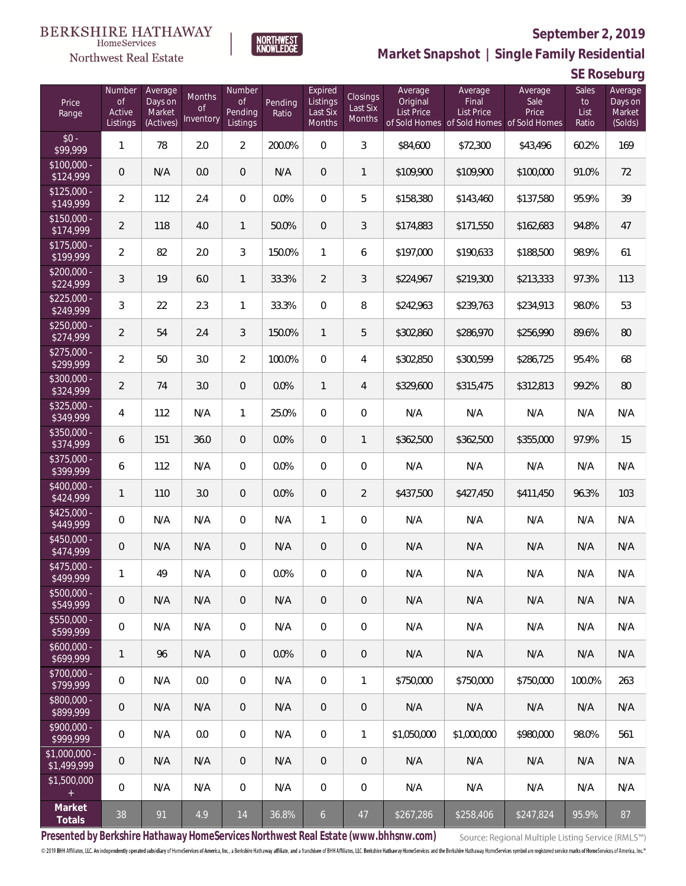

HomeServices

**Market Snapshot | Single Family Residential**

## **SE Roseburg**

| Price<br>Range                    | Number<br><b>of</b><br>Active<br>Listings | Average<br>Days on<br>Market<br>(Actives) | Months<br><b>of</b><br>Inventory | Number<br><b>of</b><br>Pending<br>Listings | Pending<br>Ratio | Expired<br>Listings<br>Last Six<br>Months | <b>Closings</b><br>Last Six<br>Months | Average<br>Original<br><b>List Price</b> | Average<br>Final<br><b>List Price</b><br>of Sold Homes of Sold Homes of Sold Homes | Average<br>Sale<br>Price | Sales<br>to<br>List<br>Ratio | Average<br>Days on<br>Market<br>(Solds) |
|-----------------------------------|-------------------------------------------|-------------------------------------------|----------------------------------|--------------------------------------------|------------------|-------------------------------------------|---------------------------------------|------------------------------------------|------------------------------------------------------------------------------------|--------------------------|------------------------------|-----------------------------------------|
| $$0 -$<br>\$99,999                | 1                                         | 78                                        | 2.0                              | $\overline{2}$                             | 200.0%           | $\Omega$                                  | 3                                     | \$84,600                                 | \$72,300                                                                           | \$43,496                 | 60.2%                        | 169                                     |
| $$100,000 -$<br>$\sqrt{$124,999}$ | $\overline{0}$                            | N/A                                       | 0.0                              | $\overline{0}$                             | N/A              | $\overline{0}$                            | $\mathbf{1}$                          | \$109,900                                | \$109,900                                                                          | \$100,000                | 91.0%                        | 72                                      |
| $$125,000 -$<br>\$149,999         | $\overline{2}$                            | 112                                       | 2.4                              | $\overline{0}$                             | 0.0%             | $\overline{0}$                            | 5                                     | \$158,380                                | \$143,460                                                                          | \$137,580                | 95.9%                        | 39                                      |
| $$150,000 -$<br>\$174,999         | $\overline{2}$                            | 118                                       | 4.0                              | $\mathbf{1}$                               | 50.0%            | $\overline{0}$                            | 3                                     | \$174,883                                | \$171,550                                                                          | \$162,683                | 94.8%                        | 47                                      |
| $$175,000 -$<br>\$199,999         | $\overline{2}$                            | 82                                        | 2.0                              | 3                                          | 150.0%           | $\mathbf{1}$                              | 6                                     | \$197,000                                | \$190,633                                                                          | \$188,500                | 98.9%                        | 61                                      |
| $$200,000 -$<br>\$224,999         | 3                                         | 19                                        | 6.0                              | $\mathbf{1}$                               | 33.3%            | $\overline{2}$                            | 3                                     | \$224,967                                | \$219,300                                                                          | \$213,333                | 97.3%                        | 113                                     |
| $$225,000 -$<br>\$249,999         | 3                                         | 22                                        | 2.3                              | $\mathbf{1}$                               | 33.3%            | $\overline{0}$                            | 8                                     | \$242,963                                | \$239,763                                                                          | \$234,913                | 98.0%                        | 53                                      |
| $$250,000 -$<br>\$274,999         | $\overline{2}$                            | 54                                        | 2.4                              | 3                                          | 150.0%           | $\mathbf{1}$                              | 5                                     | \$302,860                                | \$286,970                                                                          | \$256,990                | 89.6%                        | 80                                      |
| $$275,000 -$<br>\$299,999         | $\overline{a}$                            | 50                                        | 3.0                              | $\overline{2}$                             | 100.0%           | $\overline{0}$                            | $\overline{4}$                        | \$302,850                                | \$300,599                                                                          | \$286,725                | 95.4%                        | 68                                      |
| $$300,000 -$<br>\$324,999         | $\overline{2}$                            | 74                                        | 3.0                              | $\overline{0}$                             | 0.0%             | $\mathbf{1}$                              | $\overline{4}$                        | \$329,600                                | \$315,475                                                                          | \$312,813                | 99.2%                        | 80                                      |
| $$325,000 -$<br>\$349,999         | 4                                         | 112                                       | N/A                              | $\mathbf{1}$                               | 25.0%            | $\overline{0}$                            | $\overline{0}$                        | N/A                                      | N/A                                                                                | N/A                      | N/A                          | N/A                                     |
| $$350,000 -$<br>\$374,999         | 6                                         | 151                                       | 36.0                             | $\overline{0}$                             | 0.0%             | $\overline{0}$                            | $\mathbf{1}$                          | \$362,500                                | \$362,500                                                                          | \$355,000                | 97.9%                        | 15                                      |
| $$375,000 -$<br>\$399,999         | 6                                         | 112                                       | N/A                              | $\overline{0}$                             | 0.0%             | $\overline{0}$                            | $\overline{0}$                        | N/A                                      | N/A                                                                                | N/A                      | N/A                          | N/A                                     |
| \$400,000 -<br>\$424,999          | 1                                         | 110                                       | 3.0                              | $\overline{0}$                             | 0.0%             | $\overline{0}$                            | $\overline{2}$                        | \$437,500                                | \$427,450                                                                          | \$411,450                | 96.3%                        | 103                                     |
| $$425,000 -$<br>\$449,999         | 0                                         | N/A                                       | N/A                              | $\overline{0}$                             | N/A              | $\mathbf{1}$                              | $\overline{0}$                        | N/A                                      | N/A                                                                                | N/A                      | N/A                          | N/A                                     |
| $$450,000 -$<br>\$474,999         | $\overline{0}$                            | N/A                                       | N/A                              | $\overline{0}$                             | N/A              | $\overline{0}$                            | $\mathbf 0$                           | N/A                                      | N/A                                                                                | N/A                      | N/A                          | N/A                                     |
| $$475,000 -$<br>\$499,999         | 1                                         | 49                                        | N/A                              | $\mathbf{0}$                               | 0.0%             | $\overline{0}$                            | $\mathbf 0$                           | N/A                                      | N/A                                                                                | N/A                      | N/A                          | N/A                                     |
| $$500,000 -$<br>\$549,999         | $\theta$                                  | N/A                                       | N/A                              | $\theta$                                   | N/A              | $\theta$                                  | $\mathbf 0$                           | N/A                                      | N/A                                                                                | N/A                      | N/A                          | N/A                                     |
| \$550,000 -<br>\$599,999          | 0                                         | N/A                                       | N/A                              | $\mathbf 0$                                | N/A              | $\mathbf 0$                               | 0                                     | N/A                                      | N/A                                                                                | N/A                      | N/A                          | N/A                                     |
| $$600,000 -$<br>5699,999          | 1                                         | 96                                        | N/A                              | $\overline{0}$                             | 0.0%             | $\overline{0}$                            | $\mathbf 0$                           | N/A                                      | N/A                                                                                | N/A                      | N/A                          | N/A                                     |
| \$700,000 -<br>\$799,999          | 0                                         | N/A                                       | 0.0                              | $\mathbf 0$                                | N/A              | $\overline{0}$                            | $\mathbf{1}$                          | \$750,000                                | \$750,000                                                                          | \$750,000                | 100.0%                       | 263                                     |
| \$800,000 -<br>\$899,999          | $\mathbf 0$                               | N/A                                       | N/A                              | $\overline{0}$                             | N/A              | $\overline{0}$                            | $\theta$                              | N/A                                      | N/A                                                                                | N/A                      | N/A                          | N/A                                     |
| \$900,000 -<br>$\sqrt{2999.999}$  | 0                                         | N/A                                       | 0.0                              | $\mathbf 0$                                | N/A              | $\overline{0}$                            | $\mathbf{1}$                          | \$1,050,000                              | \$1,000,000                                                                        | \$980,000                | 98.0%                        | 561                                     |
| $$1,000,000$ -<br>\$1,499,999     | $\overline{0}$                            | N/A                                       | N/A                              | $\overline{0}$                             | N/A              | $\overline{0}$                            | $\mathbf 0$                           | N/A                                      | N/A                                                                                | N/A                      | N/A                          | N/A                                     |
| \$1,500,000<br>$+$                | 0                                         | N/A                                       | N/A                              | $\overline{0}$                             | N/A              | $\overline{0}$                            | $\mathbf 0$                           | N/A                                      | N/A                                                                                | N/A                      | N/A                          | N/A                                     |
| Market<br>Totals                  | 38                                        | 91                                        | 4.9                              | 14                                         | 36.8%            | $\mathfrak{b}$                            | 47                                    | \$267,286                                | \$258,406                                                                          | \$247,824                | 95.9%                        | 87                                      |

**Presented by Berkshire Hathaway HomeServices Northwest Real Estate (www.bhhsnw.com)**

Source: Regional Multiple Listing Service (RMLS™)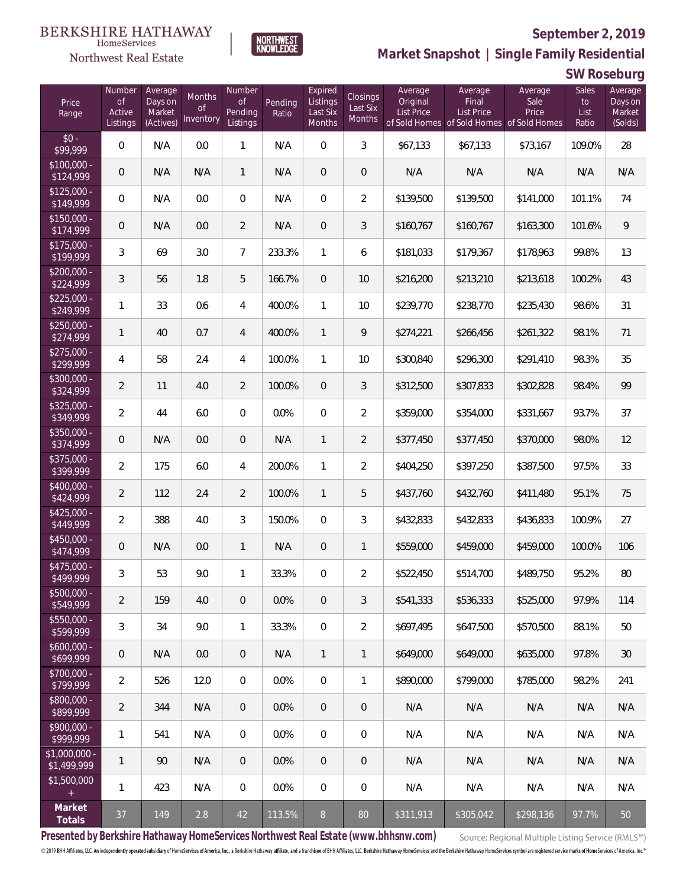

**NORTHWEST**<br>KNOWLEDGE

Northwest Real Estate

**Market Snapshot | Single Family Residential**

**SW Roseburg**

| Price<br>Range                | Number<br>of<br>Active<br>Listings | Average<br>Days on<br>Market<br>(Actives) | Months<br>Οf<br>Inventory | Number<br>Οf<br>Pending<br>Listings | Pending<br>Ratio | Expired<br>Listings<br>Last Six<br>Months | Closings<br>Last Six<br>Months | Average<br>Original<br><b>List Price</b> | Average<br>Final<br>List Price<br>of Sold Homes of Sold Homes of Sold Homes | Average<br>Sale<br>Price | Sales<br>to<br>List<br>Ratio | Average<br>Days on<br>Market<br>(Solds) |
|-------------------------------|------------------------------------|-------------------------------------------|---------------------------|-------------------------------------|------------------|-------------------------------------------|--------------------------------|------------------------------------------|-----------------------------------------------------------------------------|--------------------------|------------------------------|-----------------------------------------|
| $$0 -$<br>\$99,999            | $\overline{0}$                     | N/A                                       | 0.0                       | $\mathbf{1}$                        | N/A              | $\overline{0}$                            | 3                              | \$67,133                                 | \$67,133                                                                    | \$73,167                 | 109.0%                       | 28                                      |
| $$100,000 -$<br>\$124,999     | 0                                  | N/A                                       | N/A                       | $\mathbf{1}$                        | N/A              | $\overline{0}$                            | $\mathbf 0$                    | N/A                                      | N/A                                                                         | N/A                      | N/A                          | N/A                                     |
| $$125,000 -$<br>\$149,999     | $\mathbf 0$                        | N/A                                       | 0.0                       | $\overline{0}$                      | N/A              | $\overline{0}$                            | $\overline{2}$                 | \$139,500                                | \$139,500                                                                   | \$141,000                | 101.1%                       | 74                                      |
| $$150,000 -$<br>\$174,999     | 0                                  | N/A                                       | 0.0                       | $\overline{2}$                      | N/A              | $\overline{0}$                            | 3                              | \$160,767                                | \$160,767                                                                   | \$163,300                | 101.6%                       | 9                                       |
| $$175,000 -$<br>\$199,999     | 3                                  | 69                                        | 3.0                       | $\overline{7}$                      | 233.3%           | $\mathbf{1}$                              | 6                              | \$181,033                                | \$179,367                                                                   | \$178,963                | 99.8%                        | 13                                      |
| $$200,000 -$<br>\$224,999     | 3                                  | 56                                        | 1.8                       | 5                                   | 166.7%           | $\overline{0}$                            | 10                             | \$216,200                                | \$213,210                                                                   | \$213,618                | 100.2%                       | 43                                      |
| $$225,000 -$<br>\$249,999     | 1                                  | 33                                        | 0.6                       | 4                                   | 400.0%           | $\mathbf{1}$                              | 10                             | \$239,770                                | \$238,770                                                                   | \$235,430                | 98.6%                        | 31                                      |
| $$250,000 -$<br>\$274,999     | 1                                  | 40                                        | 0.7                       | 4                                   | 400.0%           | $\mathbf{1}$                              | 9                              | \$274,221                                | \$266,456                                                                   | \$261,322                | 98.1%                        | 71                                      |
| $$275,000 -$<br>\$299,999     | 4                                  | 58                                        | 2.4                       | $\overline{4}$                      | 100.0%           | $\mathbf{1}$                              | 10                             | \$300,840                                | \$296,300                                                                   | \$291,410                | 98.3%                        | 35                                      |
| \$300,000 -<br>\$324,999      | $\overline{2}$                     | 11                                        | 4.0                       | $\overline{2}$                      | 100.0%           | $\overline{0}$                            | 3                              | \$312,500                                | \$307,833                                                                   | \$302,828                | 98.4%                        | 99                                      |
| $$325,000 -$<br>\$349,999     | $\overline{2}$                     | 44                                        | 6.0                       | $\overline{0}$                      | 0.0%             | $\overline{0}$                            | $\overline{2}$                 | \$359,000                                | \$354,000                                                                   | \$331,667                | 93.7%                        | 37                                      |
| \$350,000 -<br>\$374,999      | 0                                  | N/A                                       | 0.0                       | $\overline{0}$                      | N/A              | $\mathbf{1}$                              | $\overline{2}$                 | \$377,450                                | \$377,450                                                                   | \$370,000                | 98.0%                        | 12                                      |
| \$375,000 -<br>\$399,999      | $\overline{2}$                     | 175                                       | 6.0                       | 4                                   | 200.0%           | $\mathbf{1}$                              | $\overline{2}$                 | \$404,250                                | \$397,250                                                                   | \$387,500                | 97.5%                        | 33                                      |
| $$400,000 -$<br>\$424,999     | $\overline{2}$                     | 112                                       | 2.4                       | $\overline{2}$                      | 100.0%           | $\mathbf{1}$                              | 5                              | \$437,760                                | \$432,760                                                                   | \$411,480                | 95.1%                        | 75                                      |
| $$425,000 -$<br>\$449,999     | $\overline{2}$                     | 388                                       | 4.0                       | 3                                   | 150.0%           | $\overline{0}$                            | 3                              | \$432,833                                | \$432,833                                                                   | \$436,833                | 100.9%                       | 27                                      |
| \$450,000 -<br>\$474,999      | 0                                  | N/A                                       | 0.0                       | $\mathbf{1}$                        | N/A              | $\overline{0}$                            | $\mathbf{1}$                   | \$559,000                                | \$459,000                                                                   | \$459,000                | 100.0%                       | 106                                     |
| $$475,000 -$<br>\$499,999     | 3                                  | 53                                        | 9.0                       | $\mathbf{1}$                        | 33.3%            | $\overline{0}$                            | $\sqrt{2}$                     | \$522,450                                | \$514,700                                                                   | \$489,750                | 95.2%                        | 80                                      |
| $$500,000 -$<br>\$549,999     | 2                                  | 159                                       | 4.0                       | $\overline{0}$                      | 0.0%             | $\overline{0}$                            | 3                              | \$541.333                                | \$536.333                                                                   | \$525,000                | 97.9%                        | 114                                     |
| $$550,000 -$<br>\$599,999     | 3                                  | 34                                        | 9.0                       | $\mathbf{1}$                        | 33.3%            | $\overline{0}$                            | $\overline{2}$                 | \$697,495                                | \$647,500                                                                   | \$570,500                | 88.1%                        | 50                                      |
| $$600,000 -$<br>\$699,999     | 0                                  | N/A                                       | 0.0                       | $\overline{0}$                      | N/A              | $\mathbf{1}$                              | $\mathbf{1}$                   | \$649,000                                | \$649,000                                                                   | \$635,000                | 97.8%                        | 30                                      |
| $$700,000 -$<br>\$799,999     | $\overline{2}$                     | 526                                       | 12.0                      | $\overline{0}$                      | 0.0%             | $\overline{0}$                            | 1                              | \$890,000                                | \$799,000                                                                   | \$785,000                | 98.2%                        | 241                                     |
| $$800,000 -$<br>\$899,999     | $\overline{2}$                     | 344                                       | N/A                       | $\overline{0}$                      | 0.0%             | $\overline{0}$                            | 0                              | N/A                                      | N/A                                                                         | N/A                      | N/A                          | N/A                                     |
| $$900,000 -$<br>\$999,999     | 1                                  | 541                                       | N/A                       | $\overline{0}$                      | 0.0%             | $\overline{0}$                            | 0                              | N/A                                      | N/A                                                                         | N/A                      | N/A                          | N/A                                     |
| $$1,000,000 -$<br>\$1,499,999 | 1                                  | 90                                        | N/A                       | $\overline{0}$                      | 0.0%             | $\overline{0}$                            | $\mathbf 0$                    | N/A                                      | N/A                                                                         | N/A                      | N/A                          | N/A                                     |
| \$1,500,000<br>$+$            | 1                                  | 423                                       | N/A                       | $\mathbf 0$                         | 0.0%             | $\overline{0}$                            | 0                              | N/A                                      | N/A                                                                         | N/A                      | N/A                          | N/A                                     |
| Market<br>Totals              | 37                                 | 149                                       | 2.8                       | 42                                  | 113.5%           | 8                                         | 80                             | \$311,913                                | \$305,042                                                                   | \$298,136                | 97.7%                        | 50                                      |

**Presented by Berkshire Hathaway HomeServices Northwest Real Estate (www.bhhsnw.com)**

Source: Regional Multiple Listing Service (RMLS™)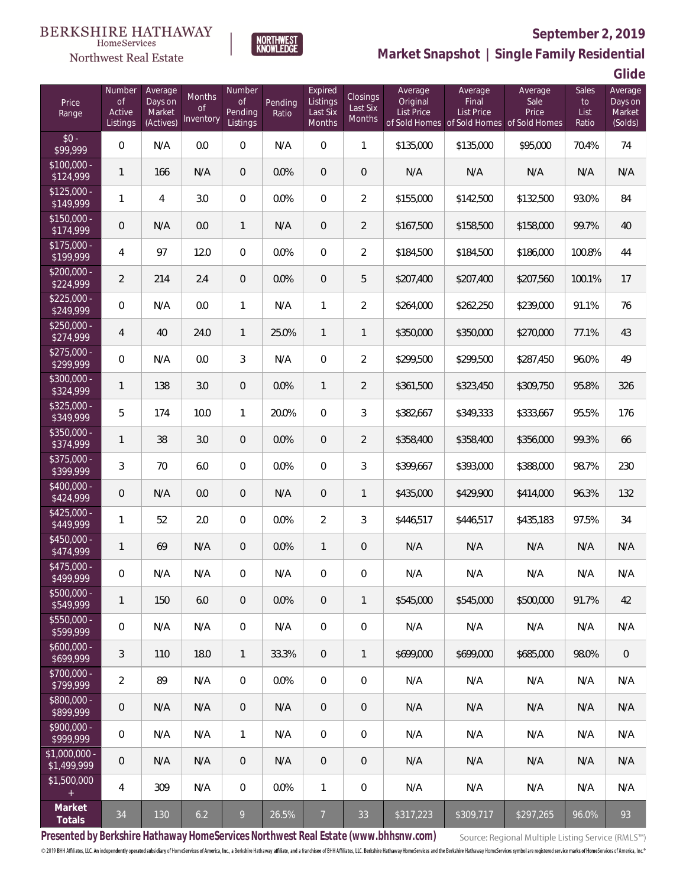# Northwest Real Estate



## **September 2, 2019**

**Market Snapshot | Single Family Residential**

**Glide**

| Price<br>Range                   | Number<br><b>of</b><br>Active<br>Listings | Average<br>Days on<br>Market<br>(Actives) | Months<br><b>of</b><br>Inventory | Number<br><b>of</b><br>Pending<br>Listings | Pending<br>Ratio | Expired<br>Listings<br>Last Six<br>Months | <b>Closings</b><br>Last Six<br>Months | Average<br>Original<br><b>List Price</b> | Average<br>Final<br><b>List Price</b> | Average<br>Sale<br>Price<br>of Sold Homes of Sold Homes of Sold Homes | Sales<br>to<br>List<br>Ratio | Average<br>Days on<br>Market<br>(Solds) |
|----------------------------------|-------------------------------------------|-------------------------------------------|----------------------------------|--------------------------------------------|------------------|-------------------------------------------|---------------------------------------|------------------------------------------|---------------------------------------|-----------------------------------------------------------------------|------------------------------|-----------------------------------------|
| $$0 -$<br>\$99,999               | $\boldsymbol{0}$                          | N/A                                       | 0.0                              | 0                                          | N/A              | $\mathbf 0$                               | $\mathbf{1}$                          | \$135,000                                | \$135,000                             | \$95,000                                                              | 70.4%                        | 74                                      |
| $$100,000 -$<br>\$124,999        | $\mathbf{1}$                              | 166                                       | N/A                              | 0                                          | 0.0%             | $\mathbf 0$                               | $\mathbf 0$                           | N/A                                      | N/A                                   | N/A                                                                   | N/A                          | N/A                                     |
| $$125,000 -$<br>$\sqrt{149,999}$ | $\mathbf{1}$                              | 4                                         | 3.0                              | $\boldsymbol{0}$                           | 0.0%             | $\mathbf 0$                               | $\overline{2}$                        | \$155,000                                | \$142,500                             | \$132,500                                                             | 93.0%                        | 84                                      |
| $$150,000 -$<br>\$174,999        | $\mathbf 0$                               | N/A                                       | 0.0                              | 1                                          | N/A              | $\boldsymbol{0}$                          | $\overline{2}$                        | \$167,500                                | \$158,500                             | \$158,000                                                             | 99.7%                        | 40                                      |
| $$175,000 -$<br>\$199,999        | 4                                         | 97                                        | 12.0                             | $\overline{0}$                             | 0.0%             | $\mathbf 0$                               | $\overline{2}$                        | \$184,500                                | \$184,500                             | \$186,000                                                             | 100.8%                       | 44                                      |
| $$200,000 -$<br>\$224,999        | $\overline{2}$                            | 214                                       | 2.4                              | 0                                          | 0.0%             | $\mathbf 0$                               | 5                                     | \$207,400                                | \$207,400                             | \$207,560                                                             | 100.1%                       | 17                                      |
| $$225,000 -$<br>\$249,999        | $\boldsymbol{0}$                          | N/A                                       | 0.0                              | 1                                          | N/A              | $\mathbf{1}$                              | $\overline{2}$                        | \$264,000                                | \$262,250                             | \$239,000                                                             | 91.1%                        | 76                                      |
| $$250,000 -$<br>\$274,999        | $\overline{4}$                            | 40                                        | 24.0                             | 1                                          | 25.0%            | $\mathbf{1}$                              | $\mathbf{1}$                          | \$350,000                                | \$350,000                             | \$270,000                                                             | 77.1%                        | 43                                      |
| $$275,000 -$<br>\$299,999        | $\boldsymbol{0}$                          | N/A                                       | 0.0                              | 3                                          | N/A              | $\mathbf 0$                               | $\overline{2}$                        | \$299,500                                | \$299,500                             | \$287,450                                                             | 96.0%                        | 49                                      |
| \$300,000 -<br>\$324,999         | $\mathbf{1}$                              | 138                                       | 3.0                              | 0                                          | 0.0%             | $\mathbf{1}$                              | $\overline{2}$                        | \$361,500                                | \$323,450                             | \$309,750                                                             | 95.8%                        | 326                                     |
| $$325,000 -$<br>\$349,999        | 5                                         | 174                                       | 10.0                             | 1                                          | 20.0%            | $\overline{0}$                            | 3                                     | \$382,667                                | \$349,333                             | \$333,667                                                             | 95.5%                        | 176                                     |
| \$350,000 -<br>\$374,999         | $\mathbf{1}$                              | 38                                        | 3.0                              | 0                                          | 0.0%             | $\mathbf 0$                               | $\overline{2}$                        | \$358,400                                | \$358,400                             | \$356,000                                                             | 99.3%                        | 66                                      |
| \$375,000 -<br>\$399,999         | 3                                         | 70                                        | 6.0                              | $\overline{0}$                             | 0.0%             | $\overline{0}$                            | 3                                     | \$399,667                                | \$393,000                             | \$388,000                                                             | 98.7%                        | 230                                     |
| \$400,000 -<br>\$424,999         | 0                                         | N/A                                       | 0.0                              | 0                                          | N/A              | $\mathbf 0$                               | $\mathbf{1}$                          | \$435,000                                | \$429,900                             | \$414,000                                                             | 96.3%                        | 132                                     |
| $$425,000 -$<br>\$449,999        | 1                                         | 52                                        | 2.0                              | $\boldsymbol{0}$                           | 0.0%             | $\overline{2}$                            | 3                                     | \$446,517                                | \$446,517                             | \$435,183                                                             | 97.5%                        | 34                                      |
| \$450,000 -<br>\$474,999         | 1                                         | 69                                        | N/A                              | 0                                          | 0.0%             | $\mathbf{1}$                              | $\overline{0}$                        | N/A                                      | N/A                                   | N/A                                                                   | N/A                          | N/A                                     |
| \$475,000 -<br>\$499,999         | 0                                         | N/A                                       | N/A                              | 0                                          | N/A              | 0                                         | 0                                     | N/A                                      | N/A                                   | N/A                                                                   | N/A                          | N/A                                     |
| $$500,000 -$<br>\$549,999        | 1                                         | 150                                       | 6.0                              | $\overline{0}$                             | 0.0%             | $\mathbf 0$                               | $\mathbf{1}$                          | \$545,000                                | \$545,000                             | \$500,000                                                             | 91.7%                        | 42                                      |
| $$550,000 -$<br>\$599,999        | $\boldsymbol{0}$                          | N/A                                       | N/A                              | $\overline{0}$                             | N/A              | $\mathbf 0$                               | $\mathbf 0$                           | N/A                                      | N/A                                   | N/A                                                                   | N/A                          | N/A                                     |
| $$600,000 -$<br>\$699,999        | $\mathfrak{Z}$                            | 110                                       | 18.0                             | $\overline{1}$                             | 33.3%            | $\mathbf{0}$                              | $\mathbf{1}$                          | \$699,000                                | \$699,000                             | \$685,000                                                             | 98.0%                        | $\mathbf 0$                             |
| \$700,000 -<br>\$799,999         | $\overline{2}$                            | 89                                        | N/A                              | $\overline{0}$                             | 0.0%             | $\mathbf 0$                               | $\mathbf 0$                           | N/A                                      | N/A                                   | N/A                                                                   | N/A                          | N/A                                     |
| \$800,000 -<br>\$899,999         | 0                                         | N/A                                       | N/A                              | $\mathbf 0$                                | N/A              | $\mathbf 0$                               | $\,0\,$                               | N/A                                      | N/A                                   | N/A                                                                   | N/A                          | N/A                                     |
| \$900,000 -<br>\$999,999         | $\boldsymbol{0}$                          | N/A                                       | N/A                              | $\mathbf{1}$                               | N/A              | $\mathbf{0}$                              | $\mathbf 0$                           | N/A                                      | N/A                                   | N/A                                                                   | N/A                          | N/A                                     |
| \$1,000,000 -<br>\$1,499,999     | 0                                         | N/A                                       | N/A                              | $\mathbf 0$                                | N/A              | $\mathbf 0$                               | $\,0\,$                               | N/A                                      | N/A                                   | N/A                                                                   | N/A                          | N/A                                     |
| \$1,500,000<br>$\pm$             | 4                                         | 309                                       | N/A                              | $\boldsymbol{0}$                           | 0.0%             | $\mathbf{1}$                              | $\,0\,$                               | N/A                                      | N/A                                   | N/A                                                                   | N/A                          | N/A                                     |
| Market<br>Totals                 | 34                                        | 130                                       | 6.2                              | 9                                          | 26.5%            | $7\overline{ }$                           | 33                                    | \$317,223                                | \$309,717                             | \$297,265                                                             | 96.0%                        | 93                                      |

**Presented by Berkshire Hathaway HomeServices Northwest Real Estate (www.bhhsnw.com)**

Source: Regional Multiple Listing Service (RMLS™)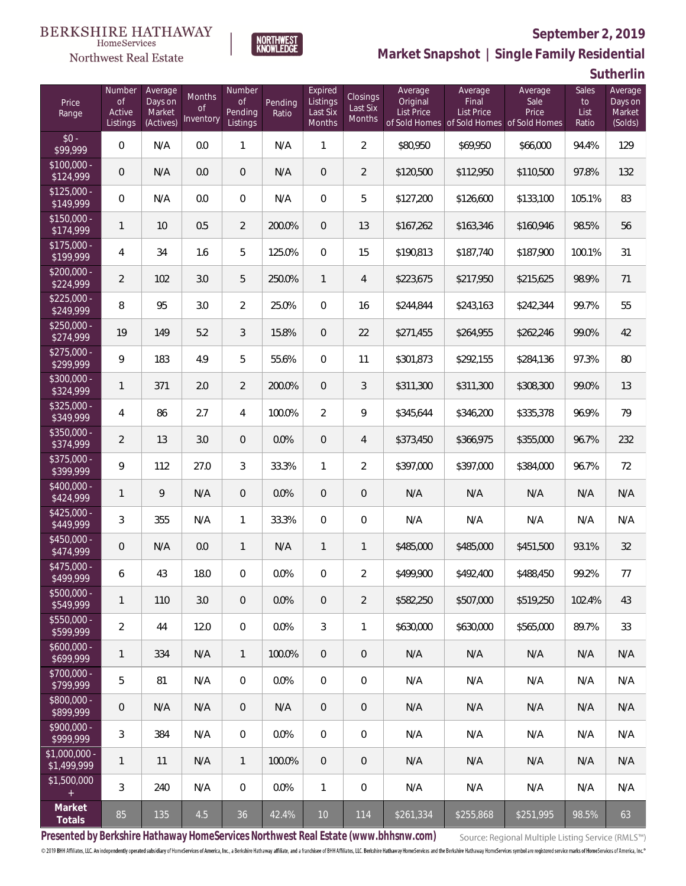## Northwest Real Estate

## **September 2, 2019**



**Market Snapshot | Single Family Residential**

**Sutherlin**

| Price<br>Range                | Number<br><b>of</b><br>Active<br>Listings | Average<br>Days on<br>Market<br>(Actives) | Months<br><b>of</b><br>Inventory | Number<br><b>of</b><br>Pending<br>Listings | Pending<br>Ratio | Expired<br>Listings<br>Last Six<br><b>Months</b> | Closings<br>Last Six<br>Months | Average<br>Original<br>List Price | Average<br>Final<br><b>List Price</b><br>of Sold Homes of Sold Homes of Sold Homes | Average<br>Sale<br>Price | Sales<br>to<br>List<br>Ratio | Average<br>Days on<br>Market<br>(Solds) |
|-------------------------------|-------------------------------------------|-------------------------------------------|----------------------------------|--------------------------------------------|------------------|--------------------------------------------------|--------------------------------|-----------------------------------|------------------------------------------------------------------------------------|--------------------------|------------------------------|-----------------------------------------|
| $$0 -$<br>\$99,999            | 0                                         | N/A                                       | 0.0                              | $\mathbf{1}$                               | N/A              | $\mathbf{1}$                                     | $\overline{2}$                 | \$80,950                          | \$69,950                                                                           | \$66,000                 | 94.4%                        | 129                                     |
| $$100.000 -$<br>\$124,999     | 0                                         | N/A                                       | 0.0                              | $\overline{0}$                             | N/A              | $\overline{0}$                                   | $\overline{2}$                 | \$120,500                         | \$112,950                                                                          | \$110,500                | 97.8%                        | 132                                     |
| $$125.000 -$<br>\$149,999     | 0                                         | N/A                                       | 0.0                              | $\overline{0}$                             | N/A              | $\mathbf{0}$                                     | 5                              | \$127,200                         | \$126,600                                                                          | \$133,100                | 105.1%                       | 83                                      |
| $$150.000 -$<br>\$174,999     | 1                                         | 10                                        | 0.5                              | $\overline{2}$                             | 200.0%           | $\overline{0}$                                   | 13                             | \$167,262                         | \$163,346                                                                          | \$160,946                | 98.5%                        | 56                                      |
| $$175,000 -$<br>\$199,999     | 4                                         | 34                                        | 1.6                              | 5                                          | 125.0%           | $\overline{0}$                                   | 15                             | \$190,813                         | \$187,740                                                                          | \$187,900                | 100.1%                       | 31                                      |
| $$200.000 -$<br>\$224,999     | $\overline{2}$                            | 102                                       | 3.0                              | 5                                          | 250.0%           | $\mathbf{1}$                                     | $\overline{4}$                 | \$223,675                         | \$217,950                                                                          | \$215,625                | 98.9%                        | 71                                      |
| $$225.000 -$<br>\$249,999     | 8                                         | 95                                        | 3.0                              | $\overline{2}$                             | 25.0%            | $\overline{0}$                                   | 16                             | \$244,844                         | \$243,163                                                                          | \$242,344                | 99.7%                        | 55                                      |
| $$250,000 -$<br>\$274,999     | 19                                        | 149                                       | 5.2                              | 3                                          | 15.8%            | $\overline{0}$                                   | 22                             | \$271,455                         | \$264,955                                                                          | \$262,246                | 99.0%                        | 42                                      |
| $$275,000 -$<br>\$299,999     | 9                                         | 183                                       | 4.9                              | 5                                          | 55.6%            | $\overline{0}$                                   | 11                             | \$301,873                         | \$292,155                                                                          | \$284,136                | 97.3%                        | 80                                      |
| $$300,000 -$<br>\$324,999     | 1                                         | 371                                       | 2.0                              | $\overline{2}$                             | 200.0%           | $\overline{0}$                                   | 3                              | \$311,300                         | \$311,300                                                                          | \$308,300                | 99.0%                        | 13                                      |
| $$325.000 -$<br>\$349,999     | 4                                         | 86                                        | 2.7                              | $\overline{4}$                             | 100.0%           | $\overline{2}$                                   | 9                              | \$345,644                         | \$346,200                                                                          | \$335,378                | 96.9%                        | 79                                      |
| \$350,000 -<br>\$374,999      | $\overline{2}$                            | 13                                        | 3.0                              | $\boldsymbol{0}$                           | 0.0%             | $\overline{0}$                                   | $\overline{4}$                 | \$373,450                         | \$366,975                                                                          | \$355,000                | 96.7%                        | 232                                     |
| $$375,000 -$<br>\$399,999     | 9                                         | 112                                       | 27.0                             | 3                                          | 33.3%            | $\mathbf{1}$                                     | $\overline{2}$                 | \$397,000                         | \$397,000                                                                          | \$384,000                | 96.7%                        | 72                                      |
| $$400,000 -$<br>\$424,999     | 1                                         | 9                                         | N/A                              | $\boldsymbol{0}$                           | 0.0%             | $\overline{0}$                                   | $\mathbf 0$                    | N/A                               | N/A                                                                                | N/A                      | N/A                          | N/A                                     |
| $$425,000 -$<br>\$449,999     | 3                                         | 355                                       | N/A                              | $\mathbf{1}$                               | 33.3%            | $\overline{0}$                                   | $\boldsymbol{0}$               | N/A                               | N/A                                                                                | N/A                      | N/A                          | N/A                                     |
| $$450,000 -$<br>\$474,999     | 0                                         | N/A                                       | 0.0                              | $\mathbf{1}$                               | N/A              | $\mathbf{1}$                                     | $\mathbf{1}$                   | \$485,000                         | \$485,000                                                                          | \$451,500                | 93.1%                        | 32                                      |
| \$475,000 -<br>\$499,999      | 6                                         | 43                                        | 18.0                             | 0                                          | 0.0%             | $\overline{0}$                                   | $\overline{2}$                 | \$499,900                         | \$492,400                                                                          | \$488,450                | 99.2%                        | 77                                      |
| $$500,000 -$<br>\$549,999     | 1                                         | 110                                       | 3.0                              | $\theta$                                   | 0.0%             | $\overline{0}$                                   | 2                              | \$582,250                         | \$507,000                                                                          | \$519,250                | 102.4%                       | 43                                      |
| $$550,000 -$<br>\$599,999     | 2                                         | 44                                        | 12.0                             | $\overline{0}$                             | 0.0%             | 3                                                | $\mathbf{1}$                   | \$630,000                         | \$630,000                                                                          | \$565,000                | 89.7%                        | 33                                      |
| $$600,000 -$<br>\$699,999     | 1                                         | 334                                       | N/A                              | $\mathbf{1}$                               | 100.0%           | $\overline{0}$                                   | $\sqrt{a}$                     | N/A                               | N/A                                                                                | N/A                      | N/A                          | N/A                                     |
| $$700,000 -$<br>\$799,999     | 5                                         | 81                                        | N/A                              | $\overline{0}$                             | 0.0%             | $\mathbf{0}$                                     | $\mathbf 0$                    | N/A                               | N/A                                                                                | N/A                      | N/A                          | N/A                                     |
| \$800,000 -<br>\$899,999      | 0                                         | N/A                                       | N/A                              | $\overline{0}$                             | N/A              | $\overline{0}$                                   | $\sqrt{a}$                     | N/A                               | N/A                                                                                | N/A                      | N/A                          | N/A                                     |
| $$900,000 -$<br>\$999,999     | 3                                         | 384                                       | N/A                              | $\overline{0}$                             | 0.0%             | $\mathbf{0}$                                     | $\mathbf 0$                    | N/A                               | N/A                                                                                | N/A                      | N/A                          | N/A                                     |
| $$1,000,000 -$<br>\$1,499,999 | 1                                         | 11                                        | N/A                              | $\mathbf{1}$                               | 100.0%           | $\overline{0}$                                   | $\theta$                       | N/A                               | N/A                                                                                | N/A                      | N/A                          | N/A                                     |
| \$1,500,000<br>$+$            | 3                                         | 240                                       | N/A                              | $\overline{0}$                             | 0.0%             | $\mathbf{1}$                                     | $\mathbf 0$                    | N/A                               | N/A                                                                                | N/A                      | N/A                          | N/A                                     |
| Market<br>Totals              | 85                                        | 135                                       | 4.5                              | 36                                         | 42.4%            | 10                                               | 114                            | $\sqrt{$261,334}$                 | \$255,868                                                                          | \$251,995                | 98.5%                        | 63                                      |

**Presented by Berkshire Hathaway HomeServices Northwest Real Estate (www.bhhsnw.com)**

Source: Regional Multiple Listing Service (RMLS™)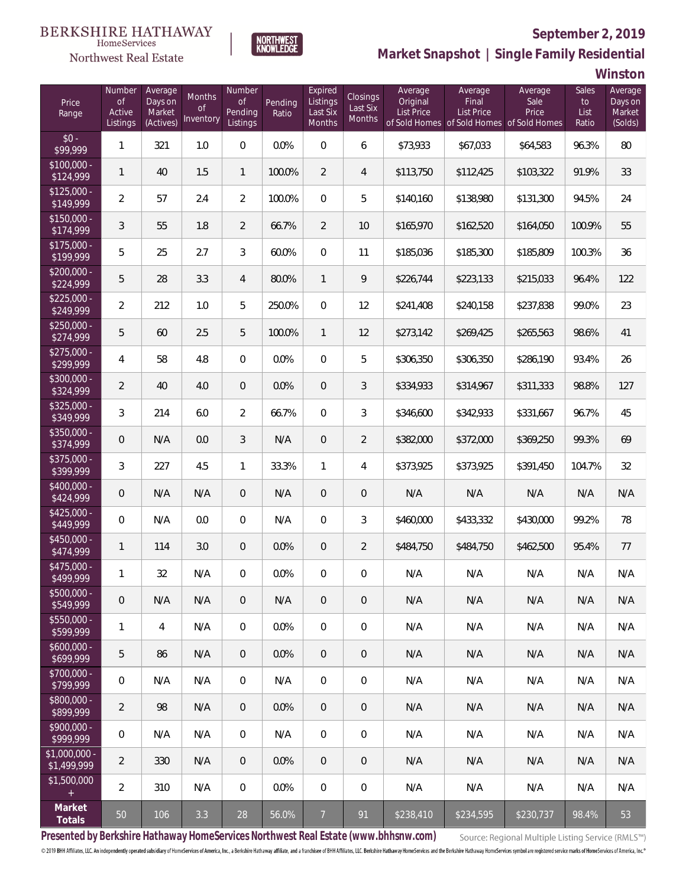# Northwest Real Estate

## **September 2, 2019**



## **Market Snapshot | Single Family Residential**

**Winston**

| Price<br>Range                | Number<br>of<br>Active<br>Listings | Average<br>Days on<br>Market<br>(Actives) | <b>Months</b><br>0f<br>Inventory | Number<br><b>of</b><br>Pending<br>Listings | Pending<br>Ratio | Expired<br>Listings<br>Last Six<br>Months | Closings<br>Last Six<br>Months | Average<br>Original<br>List Price | Average<br>Final<br>List Price<br>of Sold Homes of Sold Homes of Sold Homes | Average<br>Sale<br>Price | <b>Sales</b><br>to<br>List<br>Ratio | Average<br>Days on<br>Market<br>(Solds) |
|-------------------------------|------------------------------------|-------------------------------------------|----------------------------------|--------------------------------------------|------------------|-------------------------------------------|--------------------------------|-----------------------------------|-----------------------------------------------------------------------------|--------------------------|-------------------------------------|-----------------------------------------|
| $$0 -$<br>\$99,999            | 1                                  | 321                                       | 1.0                              | $\overline{0}$                             | 0.0%             | $\Omega$                                  | 6                              | \$73,933                          | \$67,033                                                                    | \$64,583                 | 96.3%                               | 80                                      |
| $$100,000 -$<br>\$124,999     | 1                                  | 40                                        | 1.5                              | $\mathbf{1}$                               | 100.0%           | $\overline{2}$                            | $\overline{4}$                 | \$113,750                         | \$112,425                                                                   | \$103,322                | 91.9%                               | 33                                      |
| $$125,000 -$<br>\$149,999     | $\overline{2}$                     | 57                                        | 2.4                              | $\overline{2}$                             | 100.0%           | $\overline{0}$                            | 5                              | \$140,160                         | \$138,980                                                                   | \$131,300                | 94.5%                               | 24                                      |
| $$150,000 -$<br>\$174,999     | 3                                  | 55                                        | 1.8                              | $\overline{2}$                             | 66.7%            | $\overline{2}$                            | 10                             | \$165,970                         | \$162,520                                                                   | \$164,050                | 100.9%                              | 55                                      |
| $$175,000 -$<br>\$199,999     | 5                                  | 25                                        | 2.7                              | 3                                          | 60.0%            | $\overline{0}$                            | 11                             | \$185,036                         | \$185,300                                                                   | \$185,809                | 100.3%                              | 36                                      |
| $$200,000 -$<br>\$224,999     | 5                                  | 28                                        | 3.3                              | $\overline{4}$                             | 80.0%            | $\mathbf{1}$                              | 9                              | \$226,744                         | \$223,133                                                                   | \$215,033                | 96.4%                               | 122                                     |
| $$225,000 -$<br>\$249,999     | $\overline{2}$                     | 212                                       | 1.0                              | 5                                          | 250.0%           | $\overline{0}$                            | 12                             | \$241,408                         | \$240,158                                                                   | \$237,838                | 99.0%                               | 23                                      |
| $$250,000 -$<br>\$274,999     | 5                                  | 60                                        | 2.5                              | 5                                          | 100.0%           | $\mathbf{1}$                              | 12                             | \$273,142                         | \$269,425                                                                   | \$265,563                | 98.6%                               | 41                                      |
| $$275,000 -$<br>\$299,999     | 4                                  | 58                                        | 4.8                              | $\overline{0}$                             | 0.0%             | $\overline{0}$                            | 5                              | \$306,350                         | \$306,350                                                                   | \$286,190                | 93.4%                               | 26                                      |
| \$300,000 -<br>\$324,999      | $\overline{2}$                     | 40                                        | 4.0                              | $\overline{0}$                             | 0.0%             | $\overline{0}$                            | 3                              | \$334,933                         | \$314,967                                                                   | \$311,333                | 98.8%                               | 127                                     |
| $$325,000 -$<br>\$349,999     | 3                                  | 214                                       | 6.0                              | $\overline{2}$                             | 66.7%            | $\overline{0}$                            | 3                              | \$346,600                         | \$342,933                                                                   | \$331,667                | 96.7%                               | 45                                      |
| $$350,000 -$<br>\$374,999     | 0                                  | N/A                                       | 0.0                              | 3                                          | N/A              | $\overline{0}$                            | $\overline{2}$                 | \$382,000                         | \$372,000                                                                   | \$369,250                | 99.3%                               | 69                                      |
| $$375,000 -$<br>\$399,999     | 3                                  | 227                                       | 4.5                              | $\mathbf{1}$                               | 33.3%            | $\mathbf{1}$                              | 4                              | \$373,925                         | \$373,925                                                                   | \$391,450                | 104.7%                              | 32                                      |
| $$400,000 -$<br>\$424,999     | 0                                  | N/A                                       | N/A                              | $\overline{0}$                             | N/A              | $\overline{0}$                            | $\sqrt{a}$                     | N/A                               | N/A                                                                         | N/A                      | N/A                                 | N/A                                     |
| $$425,000 -$<br>\$449,999     | $\overline{0}$                     | N/A                                       | 0.0                              | $\overline{0}$                             | N/A              | $\overline{0}$                            | 3                              | \$460,000                         | \$433,332                                                                   | \$430,000                | 99.2%                               | 78                                      |
| $$450,000 -$<br>\$474,999     | 1                                  | 114                                       | 3.0                              | $\overline{0}$                             | 0.0%             | $\overline{0}$                            | $\overline{2}$                 | \$484,750                         | \$484,750                                                                   | \$462,500                | 95.4%                               | 77                                      |
| $$475,000 -$<br>\$499,999     | 1                                  | 32                                        | N/A                              | $\overline{0}$                             | 0.0%             | $\overline{0}$                            | $\boldsymbol{0}$               | N/A                               | N/A                                                                         | N/A                      | N/A                                 | N/A                                     |
| $$500,000 -$<br>\$549,999     | 0                                  | N/A                                       | N/A                              | $\overline{0}$                             | N/A              | $\overline{0}$                            | $\overline{0}$                 | N/A                               | N/A                                                                         | N/A                      | N/A                                 | N/A                                     |
| $$550,000 -$<br>\$599,999     | 1                                  | $\overline{4}$                            | N/A                              | $\overline{0}$                             | 0.0%             | $\overline{0}$                            | $\mathbf 0$                    | N/A                               | N/A                                                                         | N/A                      | N/A                                 | N/A                                     |
| $$600,000 -$<br>\$699,999     | 5                                  | 86                                        | N/A                              | $\overline{0}$                             | 0.0%             | $\sqrt{0}$                                | $\theta$                       | N/A                               | N/A                                                                         | N/A                      | N/A                                 | N/A                                     |
| $$700,000 -$<br>\$799,999     | $\mathbf 0$                        | N/A                                       | N/A                              | $\mathbf 0$                                | N/A              | $\mathbf 0$                               | $\mathbf 0$                    | N/A                               | N/A                                                                         | N/A                      | N/A                                 | N/A                                     |
| $$800,000 -$<br>\$899,999     | $\overline{2}$                     | 98                                        | N/A                              | $\overline{0}$                             | 0.0%             | $\sqrt{0}$                                | $\theta$                       | N/A                               | N/A                                                                         | N/A                      | N/A                                 | N/A                                     |
| $$900,000 -$<br>\$999,999     | $\mathbf 0$                        | N/A                                       | N/A                              | $\overline{0}$                             | N/A              | $\mathbf 0$                               | $\mathbf 0$                    | N/A                               | N/A                                                                         | N/A                      | N/A                                 | N/A                                     |
| $$1,000,000$ -<br>\$1,499,999 | $\overline{2}$                     | 330                                       | N/A                              | $\overline{0}$                             | 0.0%             | $\sqrt{0}$                                | $\overline{0}$                 | N/A                               | N/A                                                                         | N/A                      | N/A                                 | N/A                                     |
| \$1,500,000<br>$\pm$          | $\overline{2}$                     | 310                                       | N/A                              | $\mathbf 0$                                | 0.0%             | $\mathbf 0$                               | $\mathbf 0$                    | N/A                               | N/A                                                                         | N/A                      | N/A                                 | N/A                                     |
| Market<br>Totals              | 50                                 | 106                                       | 3.3                              | 28                                         | 56.0%            | $\overline{7}$                            | 91                             | \$238,410                         | \$234,595                                                                   | \$230,737                | 98.4%                               | 53                                      |

**Presented by Berkshire Hathaway HomeServices Northwest Real Estate (www.bhhsnw.com)**

Source: Regional Multiple Listing Service (RMLS™)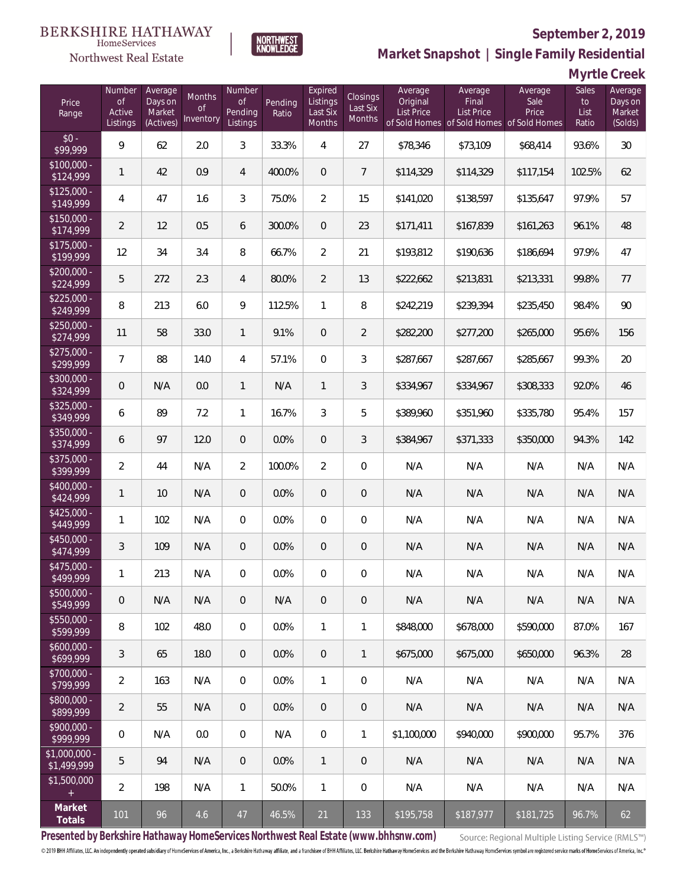## Northwest Real Estate

## **September 2, 2019**



**Myrtle Creek**

| Price<br>Range                    | Number<br>$\circ f$<br><b>Active</b><br>Listings | Average<br>Days on<br>Market<br>(Actives) | Months<br><b>of</b><br>Inventory | Number<br><b>of</b><br>Pending<br>Listings | Pending<br>Ratio | Expired<br>Listings<br>Last Six<br>Months | Closings<br>Last Six<br>Months | Average<br>Original<br><b>List Price</b> | Average<br>Final<br><b>List Price</b><br>of Sold Homes of Sold Homes of Sold Homes | Average<br>Sale<br>Price | Sales<br>to<br>List<br>Ratio | Average<br>Days on<br>Market<br>(Solds) |
|-----------------------------------|--------------------------------------------------|-------------------------------------------|----------------------------------|--------------------------------------------|------------------|-------------------------------------------|--------------------------------|------------------------------------------|------------------------------------------------------------------------------------|--------------------------|------------------------------|-----------------------------------------|
| $$0 -$<br>\$99,999                | 9                                                | 62                                        | 2.0                              | 3                                          | 33.3%            | 4                                         | 27                             | \$78,346                                 | \$73,109                                                                           | \$68,414                 | 93.6%                        | 30                                      |
| $$100,000 -$<br>\$124,999         | $\mathbf{1}$                                     | 42                                        | 0.9                              | 4                                          | 400.0%           | $\overline{0}$                            | $\overline{7}$                 | \$114,329                                | \$114,329                                                                          | \$117,154                | 102.5%                       | 62                                      |
| $$125,000 -$<br>\$149,999         | 4                                                | 47                                        | 1.6                              | 3                                          | 75.0%            | $\overline{2}$                            | 15                             | \$141,020                                | \$138,597                                                                          | \$135,647                | 97.9%                        | 57                                      |
| $$150,000 -$<br>$\sqrt{$174,999}$ | 2                                                | 12                                        | 0.5                              | 6                                          | 300.0%           | $\overline{0}$                            | 23                             | \$171,411                                | \$167,839                                                                          | \$161,263                | 96.1%                        | 48                                      |
| $$175,000 -$<br>\$199,999         | 12                                               | 34                                        | 3.4                              | 8                                          | 66.7%            | $\overline{2}$                            | 21                             | \$193,812                                | \$190,636                                                                          | \$186,694                | 97.9%                        | 47                                      |
| $$200,000 -$<br>\$224,999         | 5                                                | 272                                       | 2.3                              | $\overline{4}$                             | 80.0%            | $\overline{2}$                            | 13                             | \$222,662                                | \$213,831                                                                          | \$213,331                | 99.8%                        | 77                                      |
| $$225,000 -$<br>\$249,999         | 8                                                | 213                                       | 6.0                              | 9                                          | 112.5%           | $\mathbf{1}$                              | 8                              | \$242,219                                | \$239,394                                                                          | \$235,450                | 98.4%                        | 90                                      |
| $$250,000 -$<br>\$274,999         | 11                                               | 58                                        | 33.0                             | 1                                          | 9.1%             | $\overline{0}$                            | $\overline{2}$                 | \$282,200                                | \$277,200                                                                          | \$265,000                | 95.6%                        | 156                                     |
| $$275,000 -$<br>\$299,999         | $\overline{7}$                                   | 88                                        | 14.0                             | 4                                          | 57.1%            | $\overline{0}$                            | 3                              | \$287,667                                | \$287,667                                                                          | \$285,667                | 99.3%                        | 20                                      |
| \$300,000 -<br>\$324,999          | 0                                                | N/A                                       | 0.0                              | 1                                          | N/A              | $\mathbf{1}$                              | 3                              | \$334,967                                | \$334,967                                                                          | \$308,333                | 92.0%                        | 46                                      |
| $$325,000 -$<br>\$349,999         | 6                                                | 89                                        | 7.2                              | 1                                          | 16.7%            | 3                                         | 5                              | \$389,960                                | \$351,960                                                                          | \$335,780                | 95.4%                        | 157                                     |
| \$350,000 -<br>\$374,999          | 6                                                | 97                                        | 12.0                             | $\overline{0}$                             | 0.0%             | $\overline{0}$                            | 3                              | \$384,967                                | \$371,333                                                                          | \$350,000                | 94.3%                        | 142                                     |
| \$375,000 -<br>\$399,999          | $\overline{2}$                                   | 44                                        | N/A                              | $\overline{2}$                             | 100.0%           | $\overline{2}$                            | $\boldsymbol{0}$               | N/A                                      | N/A                                                                                | N/A                      | N/A                          | N/A                                     |
| \$400,000 -<br>\$424,999          | $\mathbf{1}$                                     | 10                                        | N/A                              | $\overline{0}$                             | 0.0%             | $\overline{0}$                            | $\mathbf 0$                    | N/A                                      | N/A                                                                                | N/A                      | N/A                          | N/A                                     |
| $$425,000 -$<br>\$449,999         | 1                                                | 102                                       | N/A                              | $\overline{0}$                             | 0.0%             | $\overline{0}$                            | $\mathbf 0$                    | N/A                                      | N/A                                                                                | N/A                      | N/A                          | N/A                                     |
| \$450,000 -<br>\$474,999          | $\mathfrak{Z}$                                   | 109                                       | N/A                              | $\overline{0}$                             | 0.0%             | $\overline{0}$                            | $\mathbf 0$                    | N/A                                      | N/A                                                                                | N/A                      | N/A                          | N/A                                     |
| \$475,000 -<br>\$499,999          | 1                                                | 213                                       | N/A                              | 0                                          | 0.0%             | 0                                         | 0                              | N/A                                      | N/A                                                                                | N/A                      | N/A                          | N/A                                     |
| $$500,000 -$<br>\$549,999         | 0                                                | N/A                                       | N/A                              | 0                                          | N/A              | $\overline{0}$                            | 0                              | N/A                                      | N/A                                                                                | N/A                      | N/A                          | N/A                                     |
| $$550,000 -$<br>\$599,999         | 8                                                | 102                                       | 48.0                             | $\overline{0}$                             | 0.0%             | $\mathbf{1}$                              | $\mathbf{1}$                   | \$848,000                                | \$678,000                                                                          | \$590,000                | 87.0%                        | 167                                     |
| $$600,000 -$<br>\$699,999         | 3                                                | 65                                        | 18.0                             | $\overline{0}$                             | 0.0%             | $\overline{0}$                            | $\mathbf{1}$                   | \$675,000                                | \$675,000                                                                          | \$650,000                | 96.3%                        | 28                                      |
| \$700,000 -<br>\$799,999          | $\overline{2}$                                   | 163                                       | N/A                              | $\overline{0}$                             | 0.0%             | $\mathbf{1}$                              | 0                              | N/A                                      | N/A                                                                                | N/A                      | N/A                          | N/A                                     |
| \$800,000 -<br>\$899,999          | $\overline{2}$                                   | 55                                        | N/A                              | $\overline{0}$                             | 0.0%             | $\overline{0}$                            | $\overline{0}$                 | N/A                                      | N/A                                                                                | N/A                      | N/A                          | N/A                                     |
| \$900,000 -<br>\$999,999          | 0                                                | N/A                                       | 0.0                              | $\overline{0}$                             | N/A              | $\mathbf 0$                               | $\mathbf{1}$                   | \$1,100,000                              | \$940,000                                                                          | \$900,000                | 95.7%                        | 376                                     |
| \$1,000,000 -<br>\$1,499,999      | 5                                                | 94                                        | N/A                              | $\overline{0}$                             | 0.0%             | $\mathbf{1}$                              | $\overline{0}$                 | N/A                                      | N/A                                                                                | N/A                      | N/A                          | N/A                                     |
| \$1,500,000                       | $\overline{2}$                                   | 198                                       | N/A                              | $\mathbf{1}$                               | 50.0%            | $\mathbf{1}$                              | $\mathbf 0$                    | N/A                                      | N/A                                                                                | N/A                      | N/A                          | N/A                                     |
| Market<br>Totals                  | 101                                              | 96                                        | 4.6                              | 47                                         | 46.5%            | 21                                        | 133                            | \$195,758                                | \$187,977                                                                          | \$181,725                | 96.7%                        | 62                                      |

**NORTHWEST**<br>KNOWLEDGE

**Presented by Berkshire Hathaway HomeServices Northwest Real Estate (www.bhhsnw.com)**

Source: Regional Multiple Listing Service (RMLS™)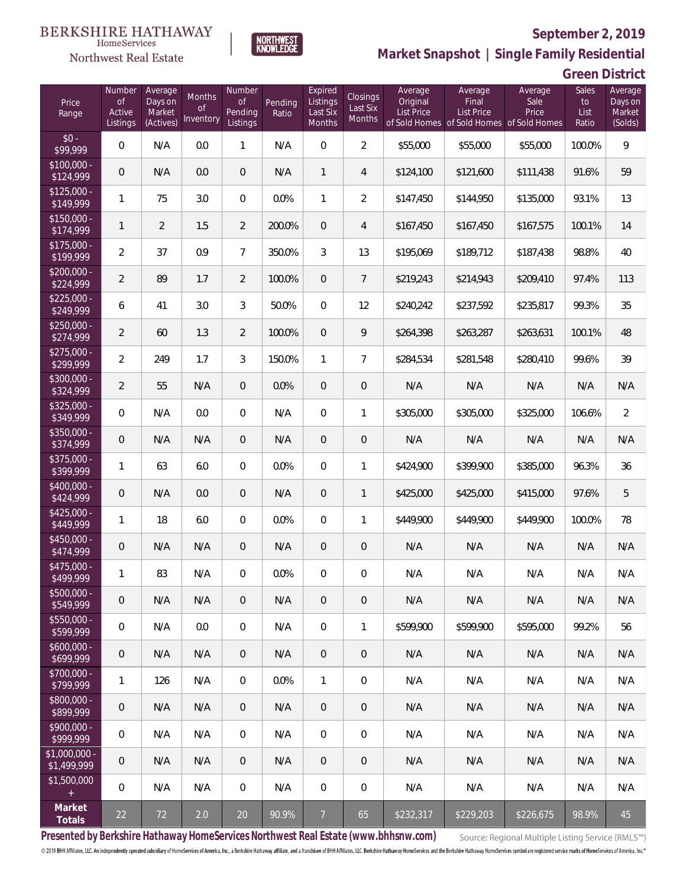

 $\label{lem:sevices} \textsc{Home} \textsc{Service} \textsc{s}$ 

**Market Snapshot | Single Family Residential**

### **Green District**

| Price<br>Range                    | Number<br><b>of</b><br>Active<br>Listings | Average<br>Days on<br>Market<br>(Actives) | Months<br><b>of</b><br>Inventory | Number<br><b>of</b><br>Pending<br>Listings | Pending<br>Ratio | Expired<br>Listings<br>Last Six<br>Months | Closings<br>Last Six<br>Months | Average<br>Original<br><b>List Price</b> | Average<br>Final<br><b>List Price</b><br>of Sold Homes of Sold Homes of Sold Homes | Average<br>Sale<br>Price | Sales<br>to<br>List<br>Ratio | Average<br>Days on<br>Market<br>(Solds) |
|-----------------------------------|-------------------------------------------|-------------------------------------------|----------------------------------|--------------------------------------------|------------------|-------------------------------------------|--------------------------------|------------------------------------------|------------------------------------------------------------------------------------|--------------------------|------------------------------|-----------------------------------------|
| $$0 -$<br>\$99,999                | $\overline{0}$                            | N/A                                       | 0.0                              | 1                                          | N/A              | $\overline{0}$                            | $\overline{2}$                 | \$55,000                                 | \$55,000                                                                           | \$55,000                 | 100.0%                       | 9                                       |
| $$100,000 -$<br>$\sqrt{$124,999}$ | $\overline{0}$                            | N/A                                       | 0.0                              | $\overline{0}$                             | N/A              | $\mathbf{1}$                              | $\overline{4}$                 | \$124,100                                | \$121,600                                                                          | \$111,438                | 91.6%                        | 59                                      |
| $$125,000 -$<br>\$149,999         | 1                                         | 75                                        | 3.0                              | $\overline{0}$                             | 0.0%             | $\mathbf{1}$                              | $\overline{2}$                 | \$147,450                                | \$144,950                                                                          | \$135,000                | 93.1%                        | 13                                      |
| $$150,000 -$<br>\$174,999         | $\mathbf{1}$                              | $\overline{2}$                            | 1.5                              | $\overline{2}$                             | 200.0%           | $\overline{0}$                            | $\overline{4}$                 | \$167,450                                | \$167,450                                                                          | \$167,575                | 100.1%                       | 14                                      |
| $$175,000 -$<br>\$199,999         | $\overline{2}$                            | 37                                        | 0.9                              | $\overline{7}$                             | 350.0%           | 3                                         | 13                             | \$195,069                                | \$189,712                                                                          | \$187,438                | 98.8%                        | 40                                      |
| $$200,000 -$<br>\$224,999         | $\overline{2}$                            | 89                                        | 1.7                              | $\overline{2}$                             | 100.0%           | $\overline{0}$                            | $7\overline{ }$                | \$219,243                                | \$214,943                                                                          | \$209,410                | 97.4%                        | 113                                     |
| $$225,000 -$<br>\$249,999         | 6                                         | 41                                        | 3.0                              | 3                                          | 50.0%            | $\overline{0}$                            | 12                             | \$240,242                                | \$237,592                                                                          | \$235,817                | 99.3%                        | 35                                      |
| $$250,000 -$<br>\$274,999         | $\overline{2}$                            | 60                                        | 1.3                              | $\overline{2}$                             | 100.0%           | $\overline{0}$                            | 9                              | \$264,398                                | \$263,287                                                                          | \$263,631                | 100.1%                       | 48                                      |
| $$275,000 -$<br>\$299,999         | $\overline{2}$                            | 249                                       | 1.7                              | 3                                          | 150.0%           | $\mathbf{1}$                              | $\overline{7}$                 | \$284,534                                | \$281,548                                                                          | \$280,410                | 99.6%                        | 39                                      |
| $$300,000 -$<br>\$324,999         | $\overline{2}$                            | 55                                        | N/A                              | $\overline{0}$                             | 0.0%             | $\overline{0}$                            | $\overline{0}$                 | N/A                                      | N/A                                                                                | N/A                      | N/A                          | N/A                                     |
| $$325,000 -$<br>\$349,999         | $\overline{0}$                            | N/A                                       | 0.0                              | $\overline{0}$                             | N/A              | $\mathbf{0}$                              | $\mathbf{1}$                   | \$305,000                                | \$305,000                                                                          | \$325,000                | 106.6%                       | $\overline{2}$                          |
| $$350,000 -$<br>\$374,999         | $\overline{0}$                            | N/A                                       | N/A                              | $\overline{0}$                             | N/A              | $\overline{0}$                            | $\theta$                       | N/A                                      | N/A                                                                                | N/A                      | N/A                          | N/A                                     |
| $$375,000 -$<br>\$399,999         | $\mathbf{1}$                              | 63                                        | 6.0                              | $\overline{0}$                             | 0.0%             | $\overline{0}$                            | $\mathbf{1}$                   | \$424,900                                | \$399,900                                                                          | \$385,000                | 96.3%                        | 36                                      |
| \$400,000 -<br>\$424,999          | $\overline{0}$                            | N/A                                       | 0.0                              | $\overline{0}$                             | N/A              | $\overline{0}$                            | $\mathbf{1}$                   | \$425,000                                | \$425,000                                                                          | \$415,000                | 97.6%                        | 5                                       |
| $$425,000 -$<br>\$449,999         | $\mathbf{1}$                              | 18                                        | 6.0                              | $\overline{0}$                             | 0.0%             | $\mathbf{0}$                              | 1                              | \$449,900                                | \$449,900                                                                          | \$449.900                | 100.0%                       | 78                                      |
| $$450,000 -$<br>\$474,999         | $\overline{0}$                            | N/A                                       | N/A                              | $\overline{0}$                             | N/A              | $\overline{0}$                            | $\theta$                       | N/A                                      | N/A                                                                                | N/A                      | N/A                          | N/A                                     |
| $$475,000 -$<br>\$499,999         | $\mathbf{1}$                              | 83                                        | N/A                              | 0                                          | 0.0%             | $\overline{0}$                            | $\mathbf 0$                    | N/A                                      | N/A                                                                                | N/A                      | N/A                          | N/A                                     |
| $$500,000 -$<br>\$549,999         | $\mathbf 0$                               | N/A                                       | N/A                              | 0                                          | N/A              | 0                                         | $\overline{0}$                 | N/A                                      | N/A                                                                                | N/A                      | N/A                          | N/A                                     |
| $$550,000 -$<br>\$599,999         | 0                                         | N/A                                       | 0.0                              | $\overline{0}$                             | N/A              | $\mathbf 0$                               | $\mathbf{1}$                   | \$599,900                                | \$599,900                                                                          | \$595,000                | 99.2%                        | 56                                      |
| $$600,000 -$<br>\$699,999         | $\mathsf{O}\xspace$                       | N/A                                       | N/A                              | $\overline{0}$                             | N/A              | $\overline{0}$                            | $\overline{0}$                 | N/A                                      | N/A                                                                                | N/A                      | N/A                          | N/A                                     |
| \$700,000 -<br>\$799,999          | 1                                         | 126                                       | N/A                              | 0                                          | 0.0%             | $\mathbf{1}$                              | $\overline{0}$                 | N/A                                      | N/A                                                                                | N/A                      | N/A                          | N/A                                     |
| \$800,000 -<br>\$899,999          | 0                                         | N/A                                       | N/A                              | $\overline{0}$                             | N/A              | $\mathbf{0}$                              | $\overline{0}$                 | N/A                                      | N/A                                                                                | N/A                      | N/A                          | N/A                                     |
| \$900,000 -<br>\$999,999          | 0                                         | N/A                                       | N/A                              | 0                                          | N/A              | $\mathbf 0$                               | $\boldsymbol{0}$               | N/A                                      | N/A                                                                                | N/A                      | N/A                          | N/A                                     |
| $$1,000,000$ -<br>\$1,499,999     | 0                                         | N/A                                       | N/A                              | $\overline{0}$                             | N/A              | $\mathbf{0}$                              | $\overline{0}$                 | N/A                                      | N/A                                                                                | N/A                      | N/A                          | N/A                                     |
| \$1,500,000<br>$+$                | 0                                         | N/A                                       | N/A                              | 0                                          | N/A              | $\mathbf 0$                               | $\boldsymbol{0}$               | N/A                                      | N/A                                                                                | N/A                      | N/A                          | N/A                                     |
| Market<br>Totals                  | 22                                        | 72                                        | 2.0                              | 20                                         | 90.9%            | $\overline{7}$                            | 65                             | \$232,317                                | \$229,203                                                                          | \$226,675                | 98.9%                        | 45                                      |

**Presented by Berkshire Hathaway HomeServices Northwest Real Estate (www.bhhsnw.com)**

Source: Regional Multiple Listing Service (RMLS™)